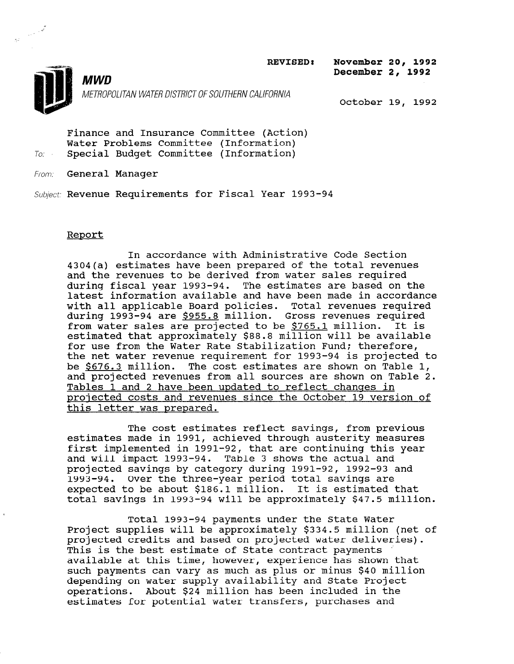REVISED: November 20, 1992

December 2, 1992



 $\begin{array}{c}\n\overrightarrow{a} \\
\overrightarrow{a} \\
\overrightarrow{a}\n\end{array}$ 

METROPOLITAN WATER DISTRICT OF SOUTHERN CALIFORNIA October 19, 1992

Finance and Insurance Committee (Action) Water Problems Committee (Information) To. Special Budget Committee (Information)

From: **General Manager** 

**MWD** 

Subject: Revenue Requirements for Fiscal Year 1993-94

### Report

In accordance with Administrative Code Section 4304(a) estimates have been prepared of the total revenues and the revenues to be derived from water sales required during fiscal year 1993-94. The estimates are based on the latest information available and have been made in accordance with all applicable Board policies. Total revenues required during 1993-94 are \$955.8 million. Gross revenues required from water sales are projected to be \$765.1 million. It is estimated that approximately  $$88.8$  million will be available for use from the Water Rate Stabilization Fund; therefore, the net water revenue requirement for 1993-94 is projected to be \$676.3 million. The cost estimates are shown on Table 1, and projected revenues from all sources are shown on Table 2. Tables 1 and 2 have been updated to reflect changes in proiected costs and revenues since the October 19 version of this letter was prepared.

The cost estimates reflect savings, from previous estimates made in 1991, achieved through austerity measures first implemented in 1991-92, that are continuing this year and will impact 1993-94. Table 3 shows the actual and projected savings by category during 1991-92, 1992-93 and projected savings by category during 1991-92, 1992-93<br>1993-94. Over the three-year period total gavings are expected to be about \$186.1 million. It is estimated that expected to be about \$186.1 million. It is estimated that<br>total savings in 1993-94 will be approximately \$47.5 million.

Total 1993-94 payments under the State Water Project supplies will be approximately supplies will be approximately state of the state. project supplies will be approximately  $\frac{1}{2}$  and million ( projected credits and based on projected water deliveries). This is the best estimate of State contract payments available at this time, however, experience has shown that<br>such payments can vary as much as plus or minus \$40 million depending on water supply and state plus of minus  $\frac{1}{2}$  and  $\frac{1}{2}$ depending on water supply availability and state Project operations. About  $$24$  million has been included in the estimates for potential water transfers, purchases and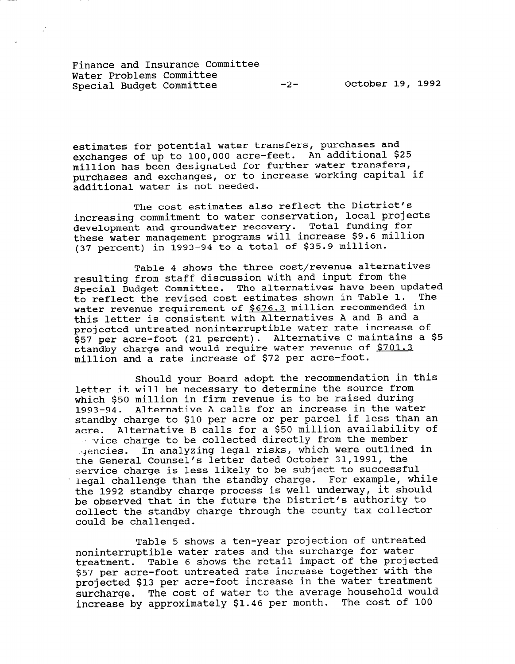Finance and Insurance Committee Water Problems Committee

 $\mathcal{J}$ 

estimates for potential water transfers, purchases and exchanges of up to 100,000 acre-feet. An additional \$25 million has been designated for further water transfers, purchases and exchanges, or to increase working capital if additional water is not needed.

The cost estimates also reflect the District's increasing commitment to water conservation, local projects development and groundwater recovery. Total funding for these water management programs will increase \$9.6 million (37 percent) in 1993-94 to a total of \$35.9 million.

Table 4 shows the three cost/revenue alternatives resulting from staff discussion with and input from the Special Budget Committee. The alternatives have been updated to reflect the revised cost estimates shown in Table 1. The water revenue requirement of \$676.3 million recommended in this letter is consistent with Alternatives A and B and a projected untreated noninterruptible water rate increase of \$57 per acre-foot (21 percent). Alternative C maintains a \$5 standby charge and would require water revenue of \$701.3 million and a rate increase of \$72 per acre-foot.

Should your Board adopt the recommendation in this letter it will be necessary to determine the source from which \$50 million in firm revenue is to be raised during 1993-94. Alternative A calls for an increase in the water standby charge to \$10 per acre or per parcel if less than an acre. Alternative B calls for a \$50 million availability of vice charge to be collected directly from the member .gencies. In analyzing legal risks, which were outlined in the General Counsel's letter dated October 31,1991, the service charge is less likely to be subject to successful legal challenge than the standby charge. For example, while the 1992 standby charge process is well underway, it should be observed that in the future the District's authority to collect the standby charge through the county tax collector could be challenged.

Table 5 shows a ten-year projection of untreated noninterruptible water rates and the surcharge for water treatment. Table 6 shows the retail impact of the projected \$57 per acre-foot untreated rate increase together with the projected \$13 per acre-foot increase in the water treatment surcharge. The cost of water to the average household would increase by approximately \$1.46 per month. The cost of 100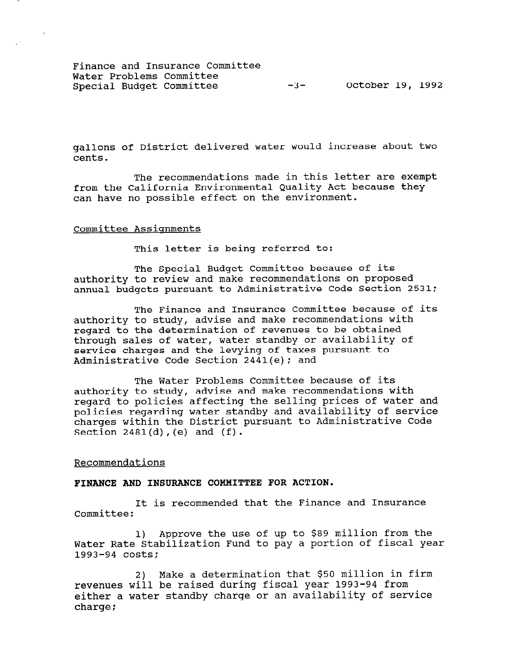Finance and Insurance Committee Water Problems Committee Special Budget Committee -3- October 19, 1992

gallons of District delivered water would increase about two cents.

The recommendations made in this letter are exempt from the California Environmental Quality Act because they can have no possible effect on the environment.

#### Committee Assignments

This letter is being referred to:

The Special Budget Committee because of its authority to review and make recommendations on proposed annual budgets pursuant to Administrative Code Section 2531;

The Finance and Insurance Committee because of its authority to study, advise and make recommendations with regard to the determination of revenues to be obtained through sales of water, water standby or availability of service charges and the levying of taxes pursuant to Administrative Code Section 2441(e); and

The Water Problems Committee because of its authority to study, advise and make recommendations with regard to policies affecting the selling prices of water and policies regarding water standby and availability of service charges within the District pursuant to Administrative Code Section 2481(d),(e) and (f).

#### Recommendations

#### FINANCE AND INSURANCE COMMITTEE FOR ACTION.

It is recommended that the Finance and Insurance Committee:

1) Approve the use of up to \$89 million from the I) Approve the use of up to you million from the 1993-94 costs<br>1993-94 costs

2) Make a determination that \$50 million in firm revenues will be raised during fiscal year 1993-94 from revenues will be faised during fiscal year 1995-94 from:<br>The contract standby change or an availability of service eiruei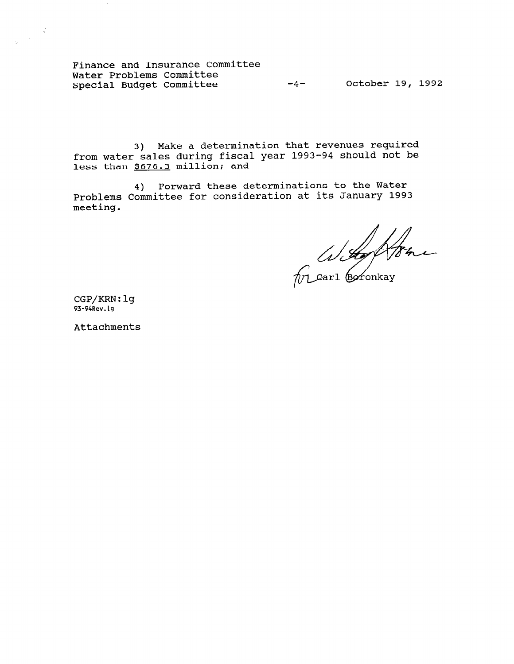Finance and Insurance Committee Water Problems Committee Special Budget Committee -4- October 19, 1992

3) Make a determination that revenues required from water sales during fiscal year 1993-94 should not be less than \$676.3 million; and

4) Forward these determinations to the Water Problems Committee for consideration at its January 1993 meeting.

With Ashe

CGP/KRN:lg 93-94Rev.lg

 $\frac{1}{2} \frac{1}{2} \sum_{i=1}^{n} \frac{1}{2} \sum_{j=1}^{n} \frac{1}{2} \sum_{j=1}^{n} \frac{1}{2} \sum_{j=1}^{n} \frac{1}{2} \sum_{j=1}^{n} \frac{1}{2} \sum_{j=1}^{n} \frac{1}{2} \sum_{j=1}^{n} \frac{1}{2} \sum_{j=1}^{n} \frac{1}{2} \sum_{j=1}^{n} \frac{1}{2} \sum_{j=1}^{n} \frac{1}{2} \sum_{j=1}^{n} \frac{1}{2} \sum_{j=1}^{n} \frac{1}{2} \sum$ 

Attachments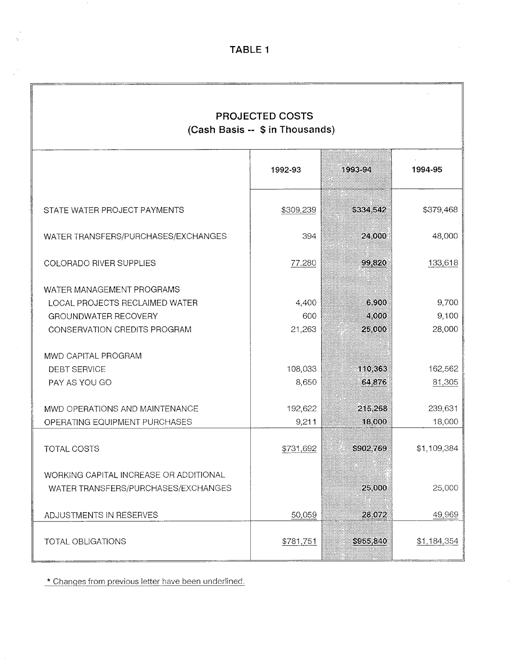$\mathcal{A}$ 

 $\hat{\mathcal{A}}$ 

| <b>PROJECTED COSTS</b><br>(Cash Basis -- \$ in Thousands)                                                                  |                        |                          |                          |
|----------------------------------------------------------------------------------------------------------------------------|------------------------|--------------------------|--------------------------|
|                                                                                                                            | 1992-93                | 1993-94                  | 1994-95                  |
| STATE WATER PROJECT PAYMENTS                                                                                               | \$309,239              | \$334,542                | \$379,468                |
| WATER TRANSFERS/PURCHASES/EXCHANGES                                                                                        | 394                    | 24,000                   | 48,000                   |
| <b>COLORADO RIVER SUPPLIES</b>                                                                                             | 77.280                 | 99,820                   | 133,618                  |
| WATER MANAGEMENT PROGRAMS<br>LOCAL PROJECTS RECLAIMED WATER<br><b>GROUNDWATER RECOVERY</b><br>CONSERVATION CREDITS PROGRAM | 4,400<br>600<br>21,263 | 6,900<br>4 000<br>25,000 | 9,700<br>9,100<br>28,000 |
| MWD CAPITAL PROGRAM<br><b>DEBT SERVICE</b><br>PAY AS YOU GO                                                                | 108,033<br>8,650       | 110,363<br>64,876        | 162,562<br>81,305        |
| MWD OPERATIONS AND MAINTENANCE<br>OPERATING EQUIPMENT PURCHASES                                                            | 192,622<br>9,211       | 215,268<br>18,000        | 239,631<br>18,000        |
| TOTAL COSTS                                                                                                                | \$731,692              | S902.769                 | \$1,109,384              |
| WORKING CAPITAL INCREASE OR ADDITIONAL<br>WATER TRANSFERS/PURCHASES/EXCHANGES                                              |                        | 25 000                   | 25,000                   |
| ADJUSTMENTS IN RESERVES                                                                                                    | 50,059                 | 28.072                   | 49,969                   |
| TOTAL OBLIGATIONS                                                                                                          | \$781,751              | \$955,840                | \$1,184,354              |

\* Changes from previous letter have been underlined.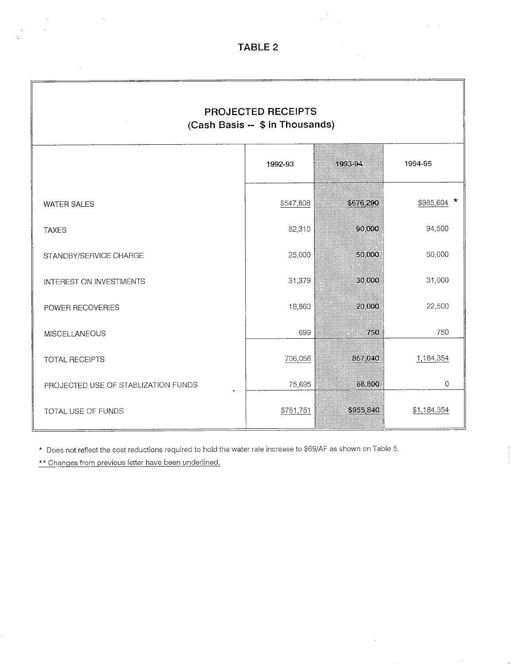$\epsilon$  $\hat{\mathcal{A}}$ 

 $\frac{1}{2}$  .

 $\sim$ 

 $\langle \cdot \rangle_{\rm{in}}$ 

 $\chi^2 \to \pi^0$ 

 $\begin{array}{c} 1 \\ 1 \\ 2 \end{array}$ 

| PROJECTED RECEIPTS<br>(Cash Basis -- \$ in Thousands) |           |           |             |
|-------------------------------------------------------|-----------|-----------|-------------|
|                                                       | 1992-93   | 1993-94   | 1994-95     |
| <b>WATER SALES</b>                                    | \$547,808 | \$676,290 | \$985,604 * |
| <b>TAXES</b>                                          | 82,310    | 90,000    | 94,500      |
| STANDBY/SERVICE CHARGE                                | 25,000    | 50 000    | 50,000      |
| INTEREST ON INVESTMENTS                               | 31,379    | 30,000    | 31,000      |
| POWER RECOVERIES                                      | 18,860    | 20,000    | 22,500      |
| <b>MISCELLANEOUS</b>                                  | 699       | 750       | 750         |
| <b>TOTAL RECEIPTS</b>                                 | 706,056   | 867 040   | 1,184,354   |
| PROJECTED USE OF STABLIZATION FUNDS                   | 75,695    | 88,800    | 0           |
| TOTAL USE OF FUNDS                                    | \$781,751 | \$955,840 | \$1,184,354 |

\* Does not reflect the cost reductions required to hold the water rate increase to \$69/AF as shown on Table 5.

\*\* Changes from previous letter have been underlined.

 $\sim$ 

 $\sim$ 

 $\bar{\beta}$ 

 $\sim$ 

 $\epsilon$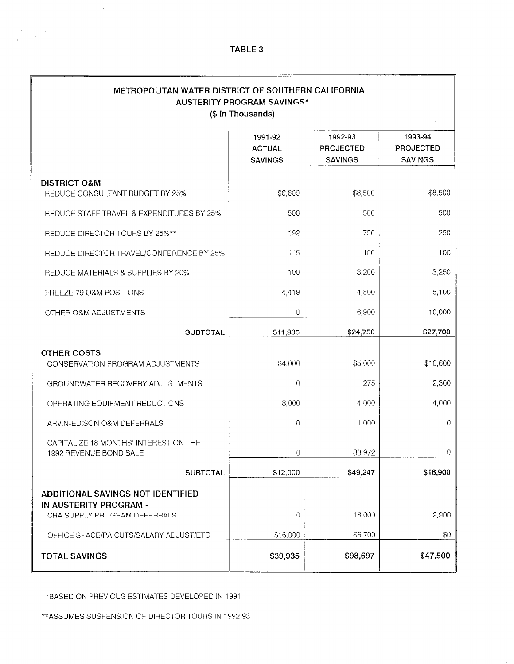$\mathcal{L}_{\mathrm{in}}$ 

 $\mathcal{A}$ 

 $\sim$  $\label{eq:2} \frac{1}{\sqrt{2}}\int_{\mathbb{R}^3}\frac{d\mu}{\sqrt{2}}\,d\mu\int_{\mathbb{R}^3}\frac{d\mu}{\sqrt{2}}\,d\mu\int_{\mathbb{R}^3}\frac{d\mu}{\sqrt{2}}\,d\mu\int_{\mathbb{R}^3}\frac{d\mu}{\sqrt{2}}\,d\mu\int_{\mathbb{R}^3}\frac{d\mu}{\sqrt{2}}\,d\mu\int_{\mathbb{R}^3}\frac{d\mu}{\sqrt{2}}\,d\mu\int_{\mathbb{R}^3}\frac{d\mu}{\sqrt{2}}\,d\mu\int_{\mathbb{$ 

| METROPOLITAN WATER DISTRICT OF SOUTHERN CALIFORNIA<br><b>AUSTERITY PROGRAM SAVINGS*</b><br>(\$ in Thousands) |                                            |                                               |                                               |
|--------------------------------------------------------------------------------------------------------------|--------------------------------------------|-----------------------------------------------|-----------------------------------------------|
|                                                                                                              | 1991-92<br><b>ACTUAL</b><br><b>SAVINGS</b> | 1992-93<br><b>PROJECTED</b><br><b>SAVINGS</b> | 1993-94<br><b>PROJECTED</b><br><b>SAVINGS</b> |
| <b>DISTRICT O&amp;M</b><br>REDUCE CONSULTANT BUDGET BY 25%                                                   | \$6,609                                    | \$8,500                                       | \$8,500                                       |
| REDUCE STAFF TRAVEL & EXPENDITURES BY 25%                                                                    | 500                                        | 500                                           | 500                                           |
| REDUCE DIRECTOR TOURS BY 25%**                                                                               | 192                                        | 750                                           | 250                                           |
| REDUCE DIRECTOR TRAVEL/CONFERENCE BY 25%                                                                     | 115                                        | 100                                           | 100                                           |
| REDUCE MATERIALS & SUPPLIES BY 20%                                                                           | 100                                        | 3,200                                         | 3,250                                         |
| FREEZE 79 O&M POSITIONS                                                                                      | 4,419                                      | 4,800                                         | 5,100                                         |
| OTHER O&M ADJUSTMENTS                                                                                        | 0                                          | 6,900                                         | 10,000                                        |
| <b>SUBTOTAL</b>                                                                                              | \$11,935                                   | \$24,750                                      | \$27,700                                      |
| <b>OTHER COSTS</b><br>CONSERVATION PROGRAM ADJUSTMENTS                                                       | \$4,000                                    | \$5,000                                       | \$10,600                                      |
| GROUNDWATER RECOVERY ADJUSTMENTS                                                                             | 0                                          | 275                                           | 2,300                                         |
| OPERATING EQUIPMENT REDUCTIONS                                                                               | 8,000                                      | 4,000                                         | 4,000                                         |
| ARVIN-EDISON O&M DEFERRALS                                                                                   | 0                                          | 1,000                                         | 0                                             |
| CAPITALIZE 18 MONTHS' INTEREST ON THE<br>1992 REVENUE BOND SALE                                              | 0                                          | 38,972                                        | 0                                             |
| <b>SUBTOTAL</b>                                                                                              | \$12,000                                   | \$49,247                                      | \$16,900                                      |
| ADDITIONAL SAVINGS NOT IDENTIFIED<br>IN AUSTERITY PROGRAM -<br>CRA SUPPLY PROGRAM DEFERRALS                  | 0                                          | 18,000                                        | 2,900                                         |
| OFFICE SPACE/PA CUTS/SALARY ADJUST/ETC<br><b>TOTAL SAVINGS</b>                                               | \$16,000<br>\$39,935                       | \$6,700<br>\$98,697                           | \$0<br>\$47,500                               |

\*BASED ON PREVIOUS ESTIMATES DEVELOPED IN 1991

\*\*ASSUMES SUSPENSION OF DIRECTOR TOURS IN 1992-93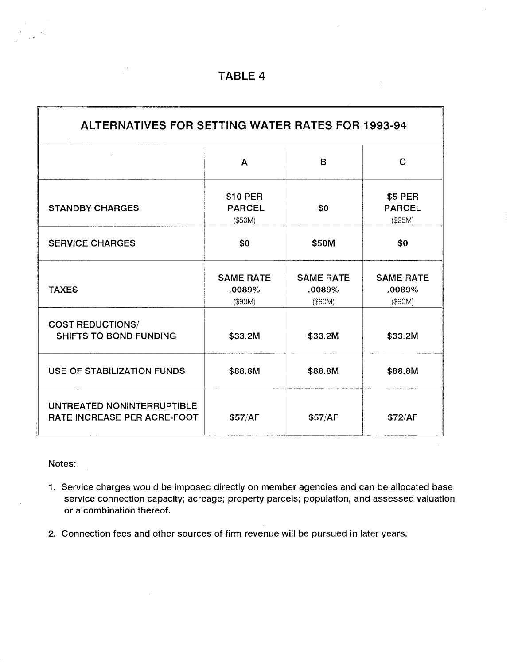$\bar{a}$ 

| ALTERNATIVES FOR SETTING WATER RATES FOR 1993-94                 |                                       |                                       |                                       |
|------------------------------------------------------------------|---------------------------------------|---------------------------------------|---------------------------------------|
|                                                                  | A                                     | $\mathbf B$                           | $\mathbf C$                           |
| <b>STANDBY CHARGES</b>                                           | \$10 PER<br><b>PARCEL</b><br>(\$50M)  | \$0                                   | \$5 PER<br><b>PARCEL</b><br>(\$25M)   |
| <b>SERVICE CHARGES</b>                                           | \$0                                   | \$50M                                 | \$0                                   |
| <b>TAXES</b>                                                     | <b>SAME RATE</b><br>.0089%<br>(\$90M) | <b>SAME RATE</b><br>.0089%<br>(\$90M) | <b>SAME RATE</b><br>.0089%<br>(\$90M) |
| <b>COST REDUCTIONS/</b><br><b>SHIFTS TO BOND FUNDING</b>         | \$33.2M                               | \$33.2M                               | \$33.2M                               |
| USE OF STABILIZATION FUNDS                                       | \$88.8M                               | \$88.8M                               | \$88.8M                               |
| UNTREATED NONINTERRUPTIBLE<br><b>RATE INCREASE PER ACRE-FOOT</b> | \$57/AF                               | \$57/AF                               | \$72/AF                               |

Notes:

- 1. Service charges would be imposed directly on member agencies and can be allocated base service connection capacity; acreage; property parcels; population, and assessed valuation or a combination thereof.
- 2. Connection fees and other sources of firm revenue will be pursued in later years.

 $\mathcal{L}$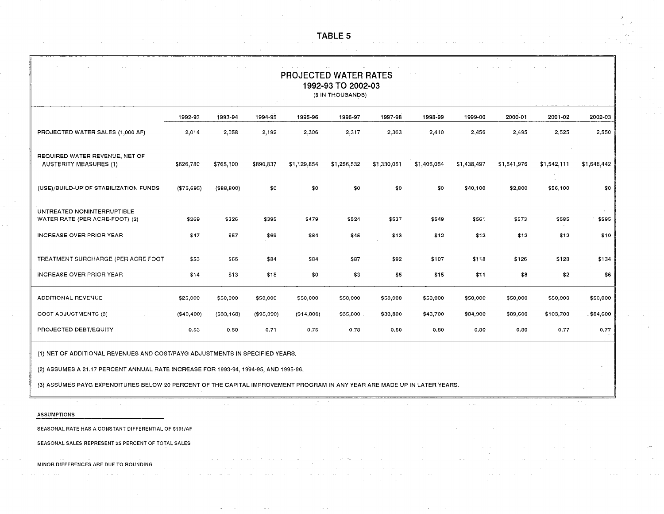PROJECTED WATER RATES 1992-93.TO 2002-03 (\$ IN THOUSANDS) 1992-93 1993-94 1994-95 1995-96 1996-97 1997-98 1996-99 1999-00 2000-01 2001-02 2002-03 PROJECTED WATER SALES (1,000 AF) 2,014 2,056 2,192 2,306 2,317 2,363 2,410 2,456 2,495 2,525 2,550 REQUIRED WATER REVENUE, NET OF AUSTERITY MEASURES (1) \$626,780 \$765,100 \$890,837 \$1,129,654 \$1,256,532 \$1,330,051 \$1,405,054 \$1,438,497 \$1,541,976 \$1,542,111 \$1,648,442 (USE)/BUILD-UP OF STABILIZATION FUNDS (\$75,695) (\$88,800) \$0 \$0 \$0 \$0 \$0 \$0 \$40,100 \$2,800 \$56,100 \$0 UNTREATED NONINTERRUPTIBLE WATER RATE (PER ACRE-FOOT) (2) \$269 \$326 \$395 \$479 \$524 \$537 \$549 \$561 \$573 \$585 \$595 INCREASE OVER PRIOR YEAR \$47 \$57 \$69 \$64 \$45 \$13 \$12 \$12 \$12 \$12 \$10 TREATMENT SURCHARGE (PER ACRE FOOT \$53 \$66 \$84 \$64 \$67 \$92 \$107 \$116 \$126 \$126 \$134 INCREASE OVER PRIOR YEAR \$14 \$14 \$13 \$18 \$0 \$3 \$5 \$15 \$11 \$8 \$2 \$6 ADDITIONAL REVENUE \$25,000 \$50,000 \$50,000 \$50,000 \$50,000 \$50,000 \$50,000 \$50,000 \$50,000 \$50,000 \$50,000 COST ADJUSTMENTS (3) (\$48,400) (\$33,166) (\$95,390) (\$14,600) \$35,800 \$33,600 \$43,700 \$84,900 \$89,600 \$103,700 \$64,600 PROJECTED DEBT/EQUITY 0.53 0.50 0.71 0.75 0.76 0.80 0.80 0.80 0.80 0.77 0.77 (1) NET OF ADDITIONAL REVENUES AND COST/PAYG ADJUSTMENTS IN SPECIFIED YEARS.

(2) ASSUMES A 21.17 PERCENT ANNUAL RATE INCREASE FOR 1993-94, 1994-95, AND 1995-96.

(3) ASSUMES PAYG EXPENDITURES BELOW 20 PERCENT OF THE CAPITAL IMPROVEMENT PROGRAM IN ANY YEAR ARE MADE UP IN LATER YEARS.

ASSUMPTIONS

SEASONAL RATE HAS A CONSTANT DIFFERENTIAL OF \$101/AF

SEASONAL SALES REPRESENT 25 PERCENT OF TOTAL SALES

MINOR DIFFERENCES ARE DUE TO ROUNDING